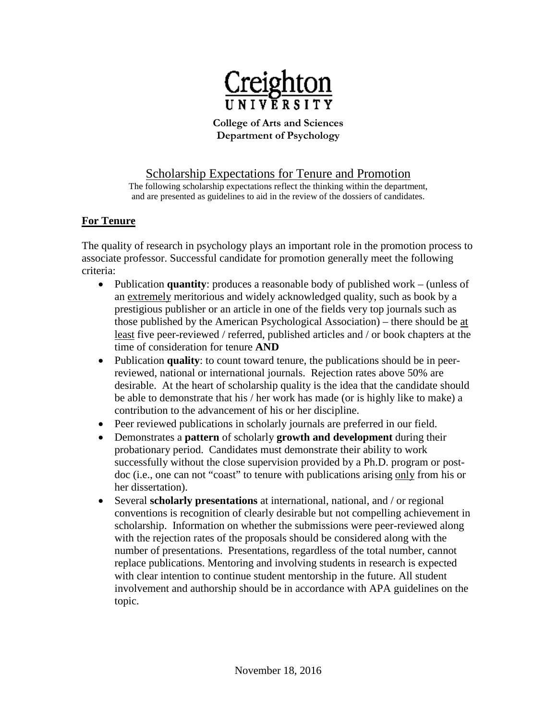

**College of Arts and Sciences Department of Psychology**

# Scholarship Expectations for Tenure and Promotion

The following scholarship expectations reflect the thinking within the department, and are presented as guidelines to aid in the review of the dossiers of candidates.

### **For Tenure**

The quality of research in psychology plays an important role in the promotion process to associate professor. Successful candidate for promotion generally meet the following criteria:

- Publication **quantity**: produces a reasonable body of published work (unless of an extremely meritorious and widely acknowledged quality, such as book by a prestigious publisher or an article in one of the fields very top journals such as those published by the American Psychological Association) – there should be at least five peer-reviewed / referred, published articles and / or book chapters at the time of consideration for tenure **AND**
- Publication **quality**: to count toward tenure, the publications should be in peerreviewed, national or international journals. Rejection rates above 50% are desirable. At the heart of scholarship quality is the idea that the candidate should be able to demonstrate that his / her work has made (or is highly like to make) a contribution to the advancement of his or her discipline.
- Peer reviewed publications in scholarly journals are preferred in our field.
- Demonstrates a **pattern** of scholarly **growth and development** during their probationary period. Candidates must demonstrate their ability to work successfully without the close supervision provided by a Ph.D. program or postdoc (i.e., one can not "coast" to tenure with publications arising only from his or her dissertation).
- Several **scholarly presentations** at international, national, and / or regional conventions is recognition of clearly desirable but not compelling achievement in scholarship. Information on whether the submissions were peer-reviewed along with the rejection rates of the proposals should be considered along with the number of presentations. Presentations, regardless of the total number, cannot replace publications. Mentoring and involving students in research is expected with clear intention to continue student mentorship in the future. All student involvement and authorship should be in accordance with APA guidelines on the topic.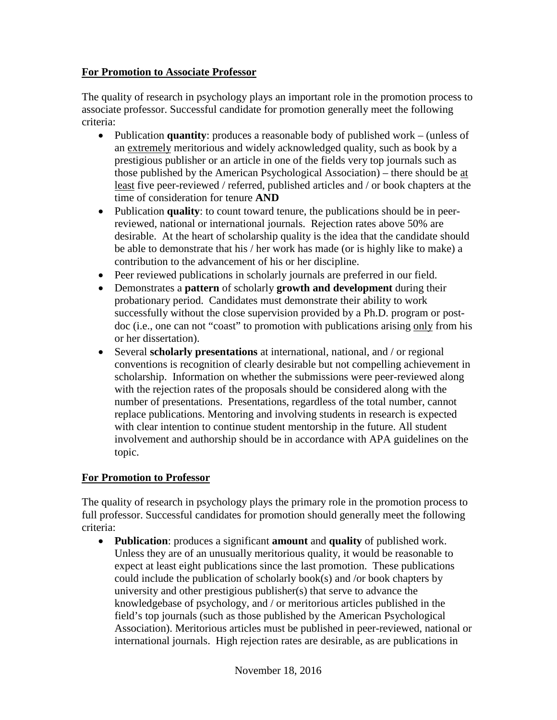#### **For Promotion to Associate Professor**

The quality of research in psychology plays an important role in the promotion process to associate professor. Successful candidate for promotion generally meet the following criteria:

- Publication **quantity**: produces a reasonable body of published work (unless of an extremely meritorious and widely acknowledged quality, such as book by a prestigious publisher or an article in one of the fields very top journals such as those published by the American Psychological Association) – there should be at least five peer-reviewed / referred, published articles and / or book chapters at the time of consideration for tenure **AND**
- Publication **quality**: to count toward tenure, the publications should be in peerreviewed, national or international journals. Rejection rates above 50% are desirable. At the heart of scholarship quality is the idea that the candidate should be able to demonstrate that his / her work has made (or is highly like to make) a contribution to the advancement of his or her discipline.
- Peer reviewed publications in scholarly journals are preferred in our field.
- Demonstrates a **pattern** of scholarly **growth and development** during their probationary period. Candidates must demonstrate their ability to work successfully without the close supervision provided by a Ph.D. program or postdoc (i.e., one can not "coast" to promotion with publications arising only from his or her dissertation).
- Several **scholarly presentations** at international, national, and / or regional conventions is recognition of clearly desirable but not compelling achievement in scholarship. Information on whether the submissions were peer-reviewed along with the rejection rates of the proposals should be considered along with the number of presentations. Presentations, regardless of the total number, cannot replace publications. Mentoring and involving students in research is expected with clear intention to continue student mentorship in the future. All student involvement and authorship should be in accordance with APA guidelines on the topic.

# **For Promotion to Professor**

The quality of research in psychology plays the primary role in the promotion process to full professor. Successful candidates for promotion should generally meet the following criteria:

• **Publication**: produces a significant **amount** and **quality** of published work. Unless they are of an unusually meritorious quality, it would be reasonable to expect at least eight publications since the last promotion. These publications could include the publication of scholarly book(s) and /or book chapters by university and other prestigious publisher(s) that serve to advance the knowledgebase of psychology, and / or meritorious articles published in the field's top journals (such as those published by the American Psychological Association). Meritorious articles must be published in peer-reviewed, national or international journals. High rejection rates are desirable, as are publications in